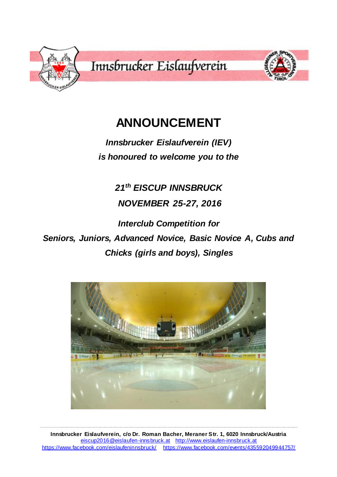

# **ANNOUNCEMENT**

*Innsbrucker Eislaufverein (IEV) is honoured to welcome you to the*

*21th EISCUP INNSBRUCK*

*NOVEMBER 25-27, 2016*

*Interclub Competition for* 

*Seniors, Juniors, Advanced Novice, Basic Novice A, Cubs and Chicks (girls and boys), Singles*



**\_\_\_\_\_\_\_\_\_\_\_\_\_\_\_\_\_\_\_\_\_\_\_\_\_\_\_\_\_\_\_\_\_\_\_\_\_\_\_\_\_\_\_\_\_\_\_\_\_\_\_\_\_\_\_\_\_\_\_\_\_\_\_\_\_\_\_\_\_\_\_\_\_\_\_\_\_\_\_\_\_\_\_\_\_\_\_\_\_\_\_\_\_\_\_\_\_\_\_\_\_\_\_\_\_\_\_\_\_\_\_\_\_\_\_\_\_\_\_\_\_\_\_\_\_\_\_\_\_\_\_\_\_\_\_\_\_\_\_\_\_\_\_\_\_\_\_\_\_\_\_\_\_\_\_\_\_\_\_\_\_\_\_**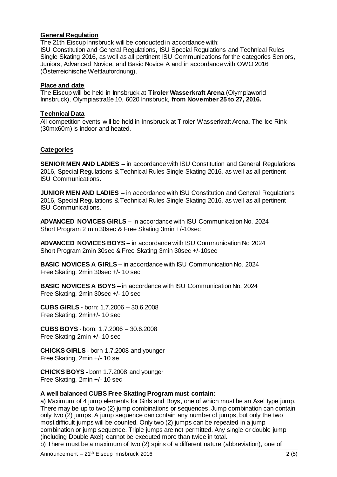# **General Regulation**

The 21th Eiscup Innsbruck will be conducted in accordance with: ISU Constitution and General Regulations, ISU Special Regulations and Technical Rules Single Skating 2016, as well as all pertinent ISU Communications for the categories Seniors, Juniors, Advanced Novice, and Basic Novice A and in accordance with ÖWO 2016 (Österreichische Wettlaufordnung).

## **Place and date**

The Eiscup will be held in Innsbruck at **Tiroler Wasserkraft Arena** (Olympiaworld Innsbruck), Olympiastraße 10, 6020 Innsbruck, **from November 25 to 27, 2016.**

## **Technical Data**

All competition events will be held in Innsbruck at Tiroler Wasserkraft Arena. The Ice Rink (30mx60m) is indoor and heated.

## **Categories**

**SENIOR MEN AND LADIES –** in accordance with ISU Constitution and General Regulations 2016, Special Regulations & Technical Rules Single Skating 2016, as well as all pertinent ISU Communications.

**JUNIOR MEN AND LADIES –** in accordance with ISU Constitution and General Regulations 2016, Special Regulations & Technical Rules Single Skating 2016, as well as all pertinent ISU Communications.

**ADVANCED NOVICES GIRLS –** in accordance with ISU Communication No. 2024 Short Program 2 min 30sec & Free Skating 3min +/-10sec

**ADVANCED NOVICES BOYS –** in accordance with ISU Communication No 2024 Short Program 2min 30sec & Free Skating 3min 30sec +/-10sec

**BASIC NOVICES A GIRLS –** in accordance with ISU Communication No. 2024 Free Skating, 2min 30sec +/- 10 sec

**BASIC NOVICES A BOYS –** in accordance with ISU Communication No. 2024 Free Skating, 2min 30sec +/- 10 sec

**CUBS GIRLS -** born: 1.7.2006 – 30.6.2008 Free Skating, 2min+/- 10 sec

**CUBS BOYS** - born: 1.7.2006 – 30.6.2008 Free Skating 2min +/- 10 sec

**CHICKS GIRLS** - born 1.7.2008 and younger Free Skating, 2min +/- 10 se

**CHICKS BOYS -** born 1.7.2008 and younger Free Skating, 2min +/- 10 sec

# **A well balanced CUBS Free Skating Program must contain:**

a) Maximum of 4 jump elements for Girls and Boys, one of which must be an Axel type jump. There may be up to two (2) jump combinations or sequences. Jump combination can contain only two (2) jumps. A jump sequence can contain any number of jumps, but only the two most difficult jumps will be counted. Only two (2) jumps can be repeated in a jump combination or jump sequence. Triple jumps are not permitted. Any single or double jump (including Double Axel) cannot be executed more than twice in total.

b) There must be a maximum of two (2) spins of a different nature (abbreviation), one of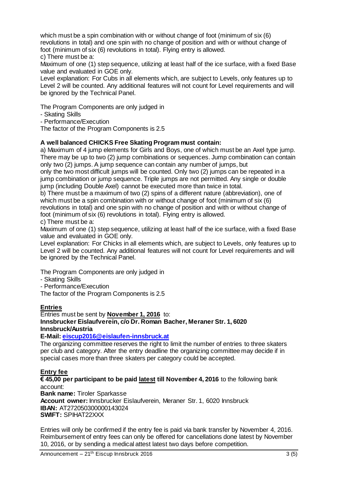which must be a spin combination with or without change of foot (minimum of six (6) revolutions in total) and one spin with no change of position and with or without change of foot (minimum of six (6) revolutions in total). Flying entry is allowed.

c) There must be a:

Maximum of one (1) step sequence, utilizing at least half of the ice surface, with a fixed Base value and evaluated in GOE only.

Level explanation: For Cubs in all elements which, are subject to Levels, only features up to Level 2 will be counted. Any additional features will not count for Level requirements and will be ignored by the Technical Panel.

The Program Components are only judged in

- Skating Skills

- Performance/Execution

The factor of the Program Components is 2.5

## **A well balanced CHICKS Free Skating Program must contain:**

a) Maximum of 4 jump elements for Girls and Boys, one of which must be an Axel type jump. There may be up to two (2) jump combinations or sequences. Jump combination can contain only two (2) jumps. A jump sequence can contain any number of jumps, but

only the two most difficult jumps will be counted. Only two (2) jumps can be repeated in a jump combination or jump sequence. Triple jumps are not permitted. Any single or double jump (including Double Axel) cannot be executed more than twice in total.

b) There must be a maximum of two (2) spins of a different nature (abbreviation), one of which must be a spin combination with or without change of foot (minimum of six (6) revolutions in total) and one spin with no change of position and with or without change of foot (minimum of six (6) revolutions in total). Flying entry is allowed.

c) There must be a:

Maximum of one (1) step sequence, utilizing at least half of the ice surface, with a fixed Base value and evaluated in GOE only.

Level explanation: For Chicks in all elements which, are subject to Levels, only features up to Level 2 will be counted. Any additional features will not count for Level requirements and will be ignored by the Technical Panel.

The Program Components are only judged in

- Skating Skills

- Performance/Execution

The factor of the Program Components is 2.5

#### **Entries**

Entries must be sent by **November 1, 2016** to: **Innsbrucker Eislaufverein, c/o Dr. Roman Bacher, Meraner Str. 1, 6020 Innsbruck/Austria**

**E-Mail[: eiscup2016@eislaufen-innsbruck.at](mailto:eiscup2016@eislaufen-innsbruck.at)**

The organizing committee reserves the right to limit the number of entries to three skaters per club and category. After the entry deadline the organizing committee may decide if in special cases more than three skaters per category could be accepted.

#### **Entry fee**

**€ 45,00 per participant to be paid latest till November 4, 2016** to the following bank account:

**Bank name:** Tiroler Sparkasse **Account owner:** Innsbrucker Eislaufverein, Meraner Str. 1, 6020 Innsbruck **IBAN:** AT272050300000143024 **SWIFT:** SPIHAT22XXX

Entries will only be confirmed if the entry fee is paid via bank transfer by November 4, 2016. Reimbursement of entry fees can only be offered for cancellations done latest by November 10, 2016, or by sending a medical attest latest two days before competition.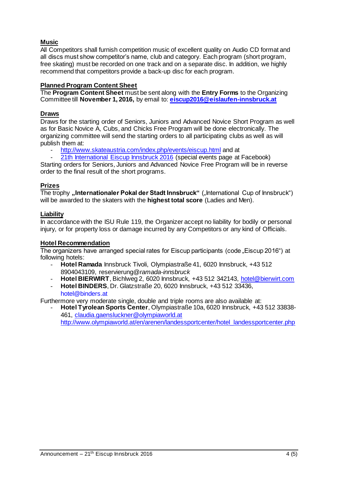# **Music**

All Competitors shall furnish competition music of excellent quality on Audio CD format and all discs must show competitor's name, club and category. Each program (short program, free skating) must be recorded on one track and on a separate disc. In addition, we highly recommend that competitors provide a back-up disc for each program.

# **Planned Program Content Sheet**

The **Program Content Sheet** must be sent along with the **Entry Forms** to the Organizing Committee till **November 1, 2016,** by email to: **[eiscup2016@eislaufen-innsbruck.at](mailto:eiscup2016@eislaufen-innsbruck.at)**

## **Draws**

Draws for the starting order of Seniors, Juniors and Advanced Novice Short Program as well as for Basic Novice A, Cubs, and Chicks Free Program will be done electronically. The organizing committee will send the starting orders to all participating clubs as well as will publish them at:

- <http://www.skateaustria.com/index.php/events/eiscup.html> and at<br>21th International Fiscup Innsbruck 2016 (special events page at
- [21th International Eiscup](https://www.facebook.com/events/435592049944757/?ref=1&feed_story_type=279&action_history=%5B%7B%22surface%22%3A%22permalink%22%2C%22mechanism%22%3A%22surface%22%2C%22extra_data%22%3A%5B%5D%7D%5D) Innsbruck 2016 (special events page at Facebook)

Starting orders for Seniors, Juniors and Advanced Novice Free Program will be in reverse order to the final result of the short programs.

#### **Prizes**

The trophy "Internationaler Pokal der Stadt Innsbruck" ("International Cup of Innsbruck") will be awarded to the skaters with the **highest total score** (Ladies and Men).

## **Liability**

In accordance with the ISU Rule 119, the Organizer accept no liability for bodily or personal injury, or for property loss or damage incurred by any Competitors or any kind of Officials.

#### **Hotel Recommendation**

The organizers have arranged special rates for Eiscup participants (code "Eiscup 2016") at following hotels:

- **Hotel Ramada** Innsbruck Tivoli, Olympiastraße 41, 6020 Innsbruck, +43 512 8904043109, reservierung@*ramada*-*innsbruck*
- **Hotel BIERWIRT**, Bichlweg 2, 6020 Innsbruck, +43 512 342143[, hotel@bierwirt.com](mailto:hotel@bierwirt.com)
- **Hotel BINDERS**, Dr. Glatzstraße 20, 6020 Innsbruck, +43 512 33436, hotel@binders.at

Furthermore very moderate single, double and triple rooms are also available at:

- **Hotel Tyrolean Sports Center**, Olympiastraße 10a, 6020 Innsbruck, +43 512 33838- 461, [claudia.gaensluckner@olympiaworld.at](mailto:claudia.gaensluckner@olympiaworld.at) [http://www.olympiaworld.at/en/arenen/landessportcenter/hotel\\_landessportcenter.php](http://www.olympiaworld.at/en/arenen/landessportcenter/hotel_landessportcenter.php)